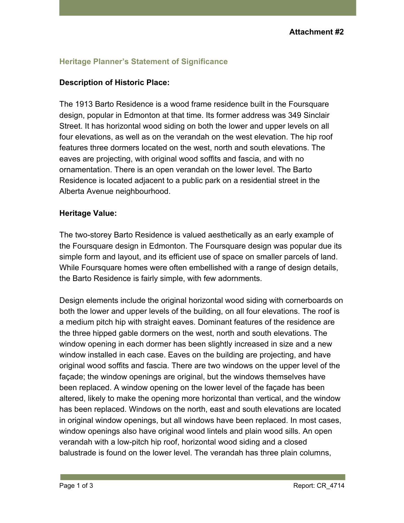## **Heritage Planner's Statement of Significance**

## **Description of Historic Place:**

The 1913 Barto Residence is a wood frame residence built in the Foursquare design, popular in Edmonton at that time. Its former address was 349 Sinclair Street. It has horizontal wood siding on both the lower and upper levels on all four elevations, as well as on the verandah on the west elevation. The hip roof features three dormers located on the west, north and south elevations. The eaves are projecting, with original wood soffits and fascia, and with no ornamentation. There is an open verandah on the lower level. The Barto Residence is located adjacent to a public park on a residential street in the Alberta Avenue neighbourhood.

## **Heritage Value:**

The two-storey Barto Residence is valued aesthetically as an early example of the Foursquare design in Edmonton. The Foursquare design was popular due its simple form and layout, and its efficient use of space on smaller parcels of land. While Foursquare homes were often embellished with a range of design details, the Barto Residence is fairly simple, with few adornments.

Design elements include the original horizontal wood siding with cornerboards on both the lower and upper levels of the building, on all four elevations. The roof is a medium pitch hip with straight eaves. Dominant features of the residence are the three hipped gable dormers on the west, north and south elevations. The window opening in each dormer has been slightly increased in size and a new window installed in each case. Eaves on the building are projecting, and have original wood soffits and fascia. There are two windows on the upper level of the façade; the window openings are original, but the windows themselves have been replaced. A window opening on the lower level of the façade has been altered, likely to make the opening more horizontal than vertical, and the window has been replaced. Windows on the north, east and south elevations are located in original window openings, but all windows have been replaced. In most cases, window openings also have original wood lintels and plain wood sills. An open verandah with a low-pitch hip roof, horizontal wood siding and a closed balustrade is found on the lower level. The verandah has three plain columns,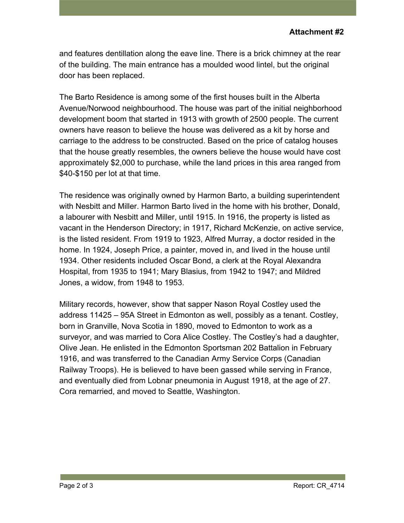and features dentillation along the eave line. There is a brick chimney at the rear of the building. The main entrance has a moulded wood lintel, but the original door has been replaced.

The Barto Residence is among some of the first houses built in the Alberta Avenue/Norwood neighbourhood. The house was part of the initial neighborhood development boom that started in 1913 with growth of 2500 people. The current owners have reason to believe the house was delivered as a kit by horse and carriage to the address to be constructed. Based on the price of catalog houses that the house greatly resembles, the owners believe the house would have cost approximately \$2,000 to purchase, while the land prices in this area ranged from \$40-\$150 per lot at that time.

The residence was originally owned by Harmon Barto, a building superintendent with Nesbitt and Miller. Harmon Barto lived in the home with his brother, Donald, a labourer with Nesbitt and Miller, until 1915. In 1916, the property is listed as vacant in the Henderson Directory; in 1917, Richard McKenzie, on active service, is the listed resident. From 1919 to 1923, Alfred Murray, a doctor resided in the home. In 1924, Joseph Price, a painter, moved in, and lived in the house until 1934. Other residents included Oscar Bond, a clerk at the Royal Alexandra Hospital, from 1935 to 1941; Mary Blasius, from 1942 to 1947; and Mildred Jones, a widow, from 1948 to 1953.

Military records, however, show that sapper Nason Royal Costley used the address 11425 – 95A Street in Edmonton as well, possibly as a tenant. Costley, born in Granville, Nova Scotia in 1890, moved to Edmonton to work as a surveyor, and was married to Cora Alice Costley. The Costley's had a daughter, Olive Jean. He enlisted in the Edmonton Sportsman 202 Battalion in February 1916, and was transferred to the Canadian Army Service Corps (Canadian Railway Troops). He is believed to have been gassed while serving in France, and eventually died from Lobnar pneumonia in August 1918, at the age of 27. Cora remarried, and moved to Seattle, Washington.